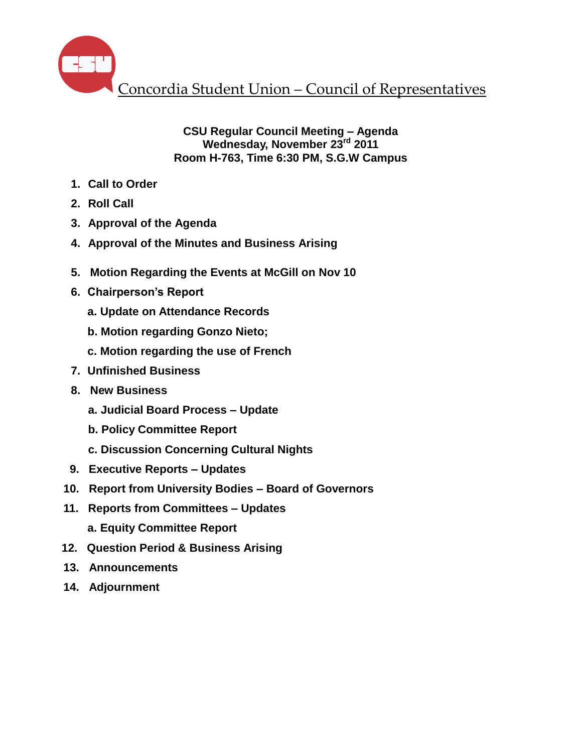

# **CSU Regular Council Meeting – Agenda Wednesday, November 23rd 2011 Room H-763, Time 6:30 PM, S.G.W Campus**

- **1. Call to Order**
- **2. Roll Call**
- **3. Approval of the Agenda**
- **4. Approval of the Minutes and Business Arising**
- **5. Motion Regarding the Events at McGill on Nov 10**
- **6. Chairperson's Report** 
	- **a. Update on Attendance Records**
	- **b. Motion regarding Gonzo Nieto;**
	- **c. Motion regarding the use of French**
- **7. Unfinished Business**
- **8. New Business**
	- **a. Judicial Board Process – Update**
	- **b. Policy Committee Report**
	- **c. Discussion Concerning Cultural Nights**
- **9. Executive Reports – Updates**
- **10. Report from University Bodies – Board of Governors**
- **11. Reports from Committees – Updates a. Equity Committee Report**
- **12. Question Period & Business Arising**
- **13. Announcements**
- **14. Adjournment**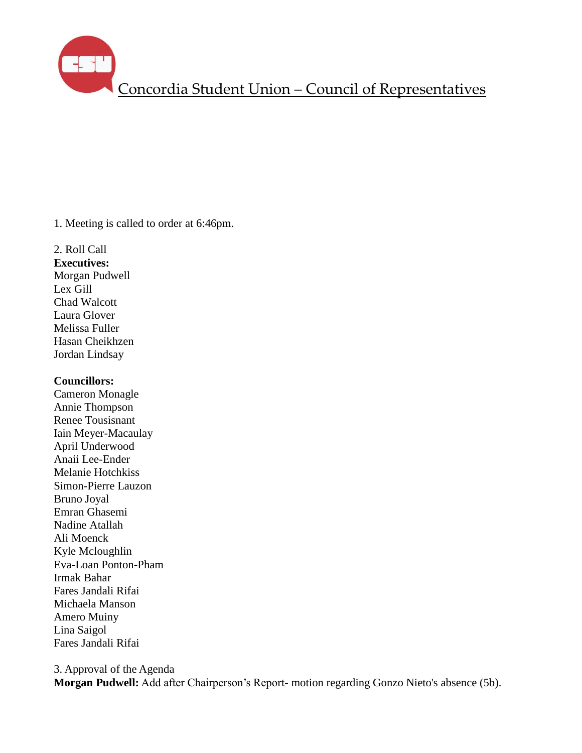1. Meeting is called to order at 6:46pm.

2. Roll Call **Executives:** Morgan Pudwell Lex Gill Chad Walcott Laura Glover Melissa Fuller Hasan Cheikhzen Jordan Lindsay

### **Councillors:**

Cameron Monagle Annie Thompson Renee Tousisnant Iain Meyer-Macaulay April Underwood Anaii Lee-Ender Melanie Hotchkiss Simon-Pierre Lauzon Bruno Joyal Emran Ghasemi Nadine Atallah Ali Moenck Kyle Mcloughlin Eva-Loan Ponton-Pham Irmak Bahar Fares Jandali Rifai Michaela Manson Amero Muiny Lina Saigol Fares Jandali Rifai

3. Approval of the Agenda

**Morgan Pudwell:** Add after Chairperson's Report- motion regarding Gonzo Nieto's absence (5b).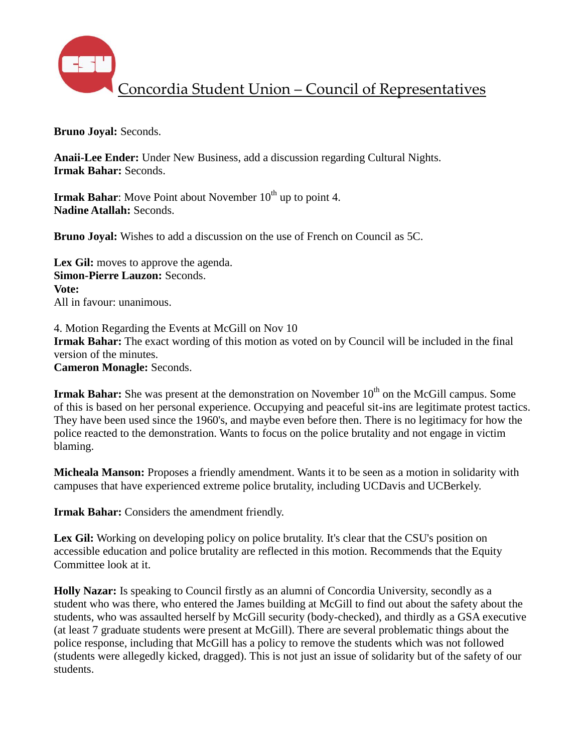

**Bruno Joyal:** Seconds.

**Anaii-Lee Ender:** Under New Business, add a discussion regarding Cultural Nights. **Irmak Bahar:** Seconds.

**Irmak Bahar**: Move Point about November 10<sup>th</sup> up to point 4. **Nadine Atallah:** Seconds.

**Bruno Joyal:** Wishes to add a discussion on the use of French on Council as 5C.

Lex Gil: moves to approve the agenda. **Simon-Pierre Lauzon:** Seconds. **Vote:** All in favour: unanimous.

4. Motion Regarding the Events at McGill on Nov 10 **Irmak Bahar:** The exact wording of this motion as voted on by Council will be included in the final version of the minutes. **Cameron Monagle:** Seconds.

**Irmak Bahar:** She was present at the demonstration on November 10<sup>th</sup> on the McGill campus. Some of this is based on her personal experience. Occupying and peaceful sit-ins are legitimate protest tactics. They have been used since the 1960's, and maybe even before then. There is no legitimacy for how the police reacted to the demonstration. Wants to focus on the police brutality and not engage in victim blaming.

**Micheala Manson:** Proposes a friendly amendment. Wants it to be seen as a motion in solidarity with campuses that have experienced extreme police brutality, including UCDavis and UCBerkely.

**Irmak Bahar:** Considers the amendment friendly.

Lex Gil: Working on developing policy on police brutality. It's clear that the CSU's position on accessible education and police brutality are reflected in this motion. Recommends that the Equity Committee look at it.

**Holly Nazar:** Is speaking to Council firstly as an alumni of Concordia University, secondly as a student who was there, who entered the James building at McGill to find out about the safety about the students, who was assaulted herself by McGill security (body-checked), and thirdly as a GSA executive (at least 7 graduate students were present at McGill). There are several problematic things about the police response, including that McGill has a policy to remove the students which was not followed (students were allegedly kicked, dragged). This is not just an issue of solidarity but of the safety of our students.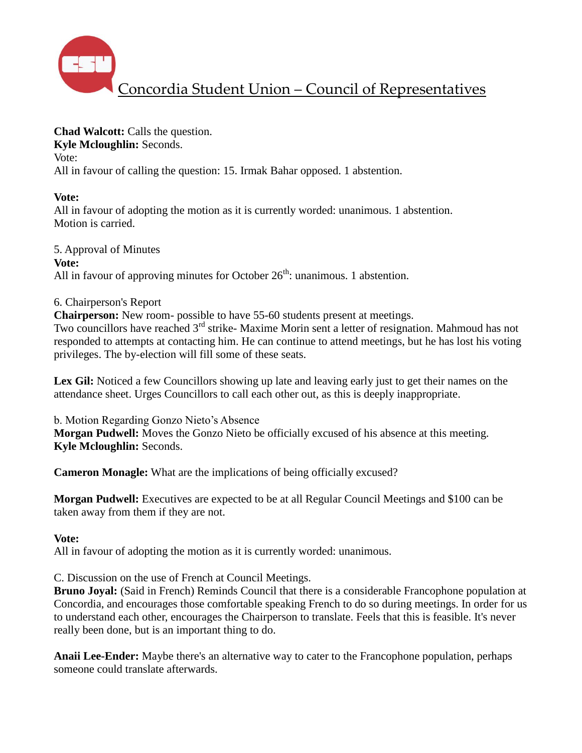

**Chad Walcott:** Calls the question. **Kyle Mcloughlin:** Seconds. Vote: All in favour of calling the question: 15. Irmak Bahar opposed. 1 abstention.

# **Vote:**

All in favour of adopting the motion as it is currently worded: unanimous. 1 abstention. Motion is carried.

5. Approval of Minutes **Vote:** All in favour of approving minutes for October  $26<sup>th</sup>$ : unanimous. 1 abstention.

# 6. Chairperson's Report

**Chairperson:** New room- possible to have 55-60 students present at meetings.

Two councillors have reached  $3<sup>rd</sup>$  strike- Maxime Morin sent a letter of resignation. Mahmoud has not responded to attempts at contacting him. He can continue to attend meetings, but he has lost his voting privileges. The by-election will fill some of these seats.

Lex Gil: Noticed a few Councillors showing up late and leaving early just to get their names on the attendance sheet. Urges Councillors to call each other out, as this is deeply inappropriate.

b. Motion Regarding Gonzo Nieto's Absence **Morgan Pudwell:** Moves the Gonzo Nieto be officially excused of his absence at this meeting. **Kyle Mcloughlin:** Seconds.

**Cameron Monagle:** What are the implications of being officially excused?

**Morgan Pudwell:** Executives are expected to be at all Regular Council Meetings and \$100 can be taken away from them if they are not.

# **Vote:**

All in favour of adopting the motion as it is currently worded: unanimous.

C. Discussion on the use of French at Council Meetings.

**Bruno Joyal:** (Said in French) Reminds Council that there is a considerable Francophone population at Concordia, and encourages those comfortable speaking French to do so during meetings. In order for us to understand each other, encourages the Chairperson to translate. Feels that this is feasible. It's never really been done, but is an important thing to do.

**Anaii Lee-Ender:** Maybe there's an alternative way to cater to the Francophone population, perhaps someone could translate afterwards.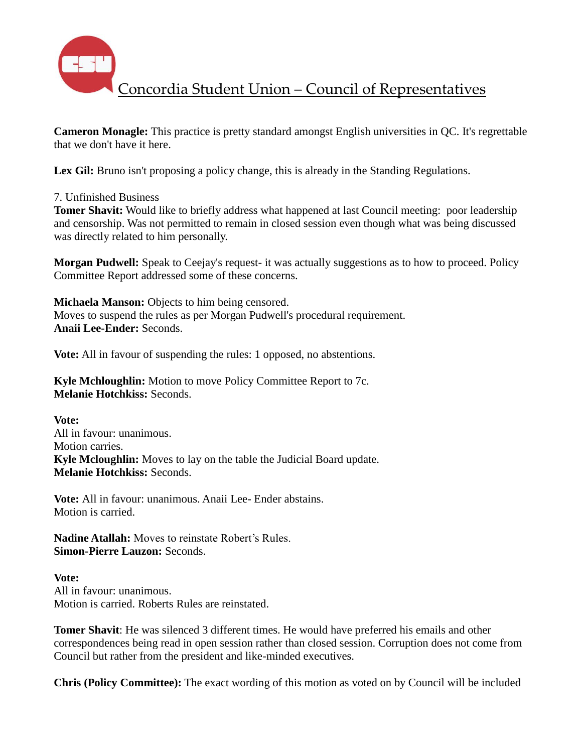

**Cameron Monagle:** This practice is pretty standard amongst English universities in QC. It's regrettable that we don't have it here.

Lex Gil: Bruno isn't proposing a policy change, this is already in the Standing Regulations.

7. Unfinished Business

**Tomer Shavit:** Would like to briefly address what happened at last Council meeting: poor leadership and censorship. Was not permitted to remain in closed session even though what was being discussed was directly related to him personally.

**Morgan Pudwell:** Speak to Ceejay's request- it was actually suggestions as to how to proceed. Policy Committee Report addressed some of these concerns.

**Michaela Manson:** Objects to him being censored. Moves to suspend the rules as per Morgan Pudwell's procedural requirement. **Anaii Lee-Ender:** Seconds.

**Vote:** All in favour of suspending the rules: 1 opposed, no abstentions.

**Kyle Mchloughlin:** Motion to move Policy Committee Report to 7c. **Melanie Hotchkiss:** Seconds.

**Vote:** All in favour: unanimous. Motion carries. **Kyle Mcloughlin:** Moves to lay on the table the Judicial Board update. **Melanie Hotchkiss:** Seconds.

**Vote:** All in favour: unanimous. Anaii Lee- Ender abstains. Motion is carried.

**Nadine Atallah:** Moves to reinstate Robert's Rules. **Simon-Pierre Lauzon:** Seconds.

**Vote:** All in favour: unanimous. Motion is carried. Roberts Rules are reinstated.

**Tomer Shavit**: He was silenced 3 different times. He would have preferred his emails and other correspondences being read in open session rather than closed session. Corruption does not come from Council but rather from the president and like-minded executives.

**Chris (Policy Committee):** The exact wording of this motion as voted on by Council will be included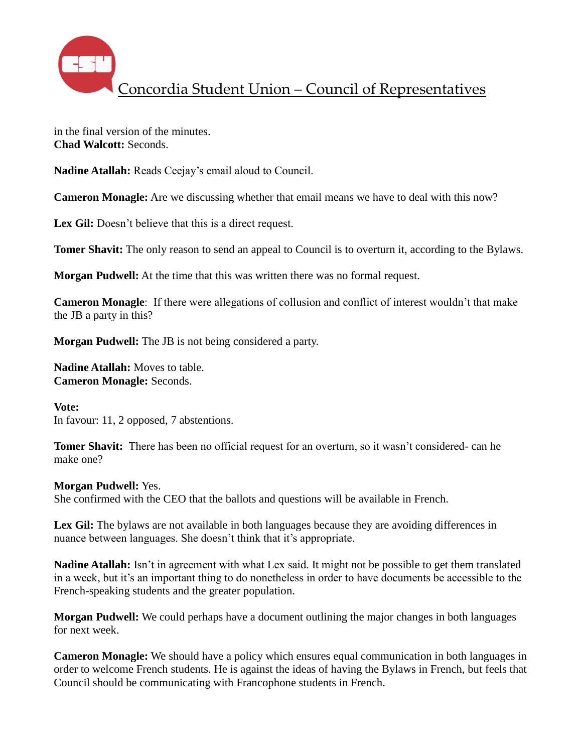

in the final version of the minutes. **Chad Walcott:** Seconds.

**Nadine Atallah:** Reads Ceejay's email aloud to Council.

**Cameron Monagle:** Are we discussing whether that email means we have to deal with this now?

Lex Gil: Doesn't believe that this is a direct request.

**Tomer Shavit:** The only reason to send an appeal to Council is to overturn it, according to the Bylaws.

**Morgan Pudwell:** At the time that this was written there was no formal request.

**Cameron Monagle**: If there were allegations of collusion and conflict of interest wouldn't that make the JB a party in this?

**Morgan Pudwell:** The JB is not being considered a party.

**Nadine Atallah:** Moves to table. **Cameron Monagle:** Seconds.

**Vote:** In favour: 11, 2 opposed, 7 abstentions.

**Tomer Shavit:** There has been no official request for an overturn, so it wasn't considered- can he make one?

### **Morgan Pudwell:** Yes.

She confirmed with the CEO that the ballots and questions will be available in French.

Lex Gil: The bylaws are not available in both languages because they are avoiding differences in nuance between languages. She doesn't think that it's appropriate.

**Nadine Atallah:** Isn't in agreement with what Lex said. It might not be possible to get them translated in a week, but it's an important thing to do nonetheless in order to have documents be accessible to the French-speaking students and the greater population.

**Morgan Pudwell:** We could perhaps have a document outlining the major changes in both languages for next week.

**Cameron Monagle:** We should have a policy which ensures equal communication in both languages in order to welcome French students. He is against the ideas of having the Bylaws in French, but feels that Council should be communicating with Francophone students in French.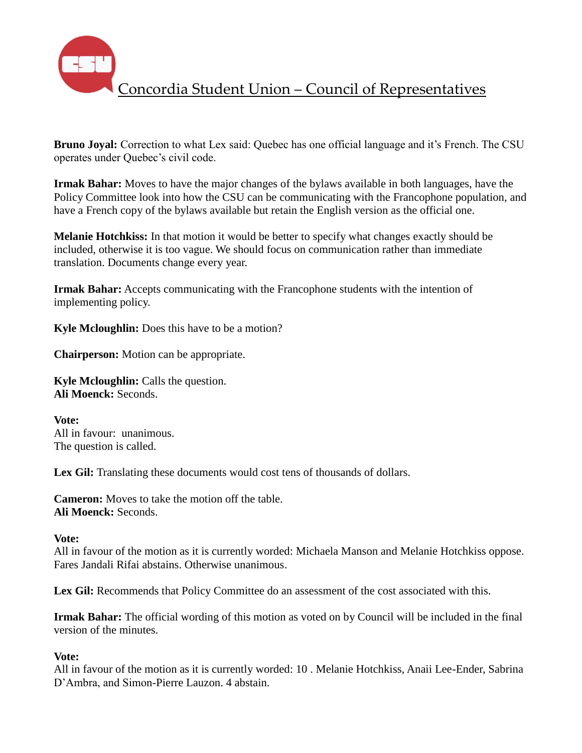

**Bruno Joyal:** Correction to what Lex said: Quebec has one official language and it's French. The CSU operates under Quebec's civil code.

**Irmak Bahar:** Moves to have the major changes of the bylaws available in both languages, have the Policy Committee look into how the CSU can be communicating with the Francophone population, and have a French copy of the bylaws available but retain the English version as the official one.

**Melanie Hotchkiss:** In that motion it would be better to specify what changes exactly should be included, otherwise it is too vague. We should focus on communication rather than immediate translation. Documents change every year.

**Irmak Bahar:** Accepts communicating with the Francophone students with the intention of implementing policy.

**Kyle Mcloughlin:** Does this have to be a motion?

**Chairperson:** Motion can be appropriate.

**Kyle Mcloughlin:** Calls the question. **Ali Moenck:** Seconds.

**Vote:** All in favour: unanimous. The question is called.

**Lex Gil:** Translating these documents would cost tens of thousands of dollars.

**Cameron:** Moves to take the motion off the table. **Ali Moenck:** Seconds.

#### **Vote:**

All in favour of the motion as it is currently worded: Michaela Manson and Melanie Hotchkiss oppose. Fares Jandali Rifai abstains. Otherwise unanimous.

Lex Gil: Recommends that Policy Committee do an assessment of the cost associated with this.

**Irmak Bahar:** The official wording of this motion as voted on by Council will be included in the final version of the minutes.

### **Vote:**

All in favour of the motion as it is currently worded: 10 . Melanie Hotchkiss, Anaii Lee-Ender, Sabrina D'Ambra, and Simon-Pierre Lauzon. 4 abstain.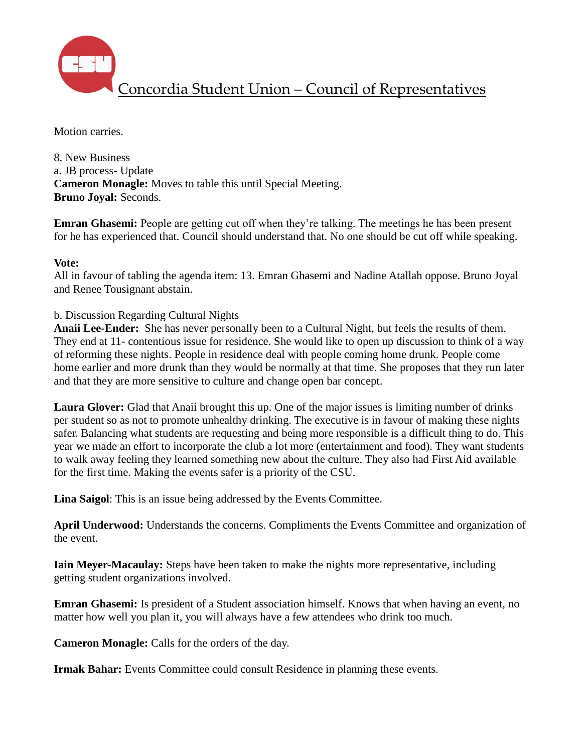

Motion carries.

8. New Business a. JB process- Update **Cameron Monagle:** Moves to table this until Special Meeting. **Bruno Joyal:** Seconds.

**Emran Ghasemi:** People are getting cut off when they're talking. The meetings he has been present for he has experienced that. Council should understand that. No one should be cut off while speaking.

### **Vote:**

All in favour of tabling the agenda item: 13. Emran Ghasemi and Nadine Atallah oppose. Bruno Joyal and Renee Tousignant abstain.

# b. Discussion Regarding Cultural Nights

**Anaii Lee-Ender:** She has never personally been to a Cultural Night, but feels the results of them. They end at 11- contentious issue for residence. She would like to open up discussion to think of a way of reforming these nights. People in residence deal with people coming home drunk. People come home earlier and more drunk than they would be normally at that time. She proposes that they run later and that they are more sensitive to culture and change open bar concept.

**Laura Glover:** Glad that Anaii brought this up. One of the major issues is limiting number of drinks per student so as not to promote unhealthy drinking. The executive is in favour of making these nights safer. Balancing what students are requesting and being more responsible is a difficult thing to do. This year we made an effort to incorporate the club a lot more (entertainment and food). They want students to walk away feeling they learned something new about the culture. They also had First Aid available for the first time. Making the events safer is a priority of the CSU.

**Lina Saigol**: This is an issue being addressed by the Events Committee.

**April Underwood:** Understands the concerns. Compliments the Events Committee and organization of the event.

**Iain Meyer-Macaulay:** Steps have been taken to make the nights more representative, including getting student organizations involved.

**Emran Ghasemi:** Is president of a Student association himself. Knows that when having an event, no matter how well you plan it, you will always have a few attendees who drink too much.

**Cameron Monagle:** Calls for the orders of the day.

**Irmak Bahar:** Events Committee could consult Residence in planning these events.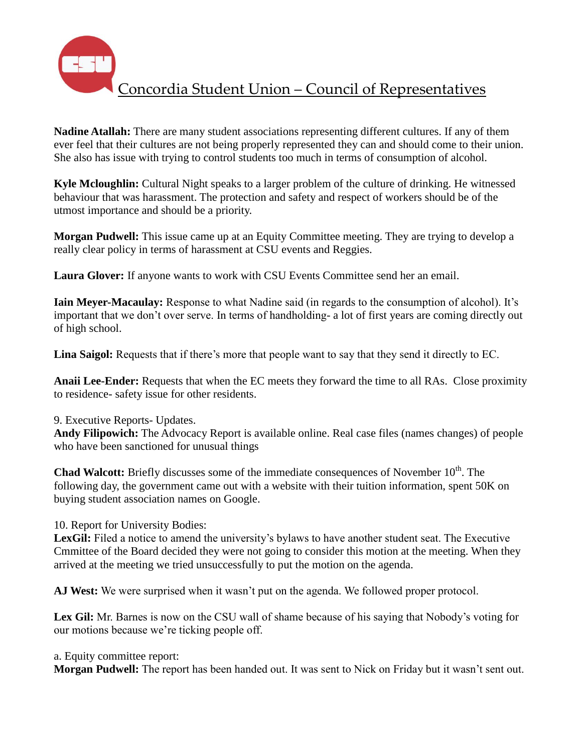

**Nadine Atallah:** There are many student associations representing different cultures. If any of them ever feel that their cultures are not being properly represented they can and should come to their union. She also has issue with trying to control students too much in terms of consumption of alcohol.

**Kyle Mcloughlin:** Cultural Night speaks to a larger problem of the culture of drinking. He witnessed behaviour that was harassment. The protection and safety and respect of workers should be of the utmost importance and should be a priority.

**Morgan Pudwell:** This issue came up at an Equity Committee meeting. They are trying to develop a really clear policy in terms of harassment at CSU events and Reggies.

**Laura Glover:** If anyone wants to work with CSU Events Committee send her an email.

**Iain Meyer-Macaulay:** Response to what Nadine said (in regards to the consumption of alcohol). It's important that we don't over serve. In terms of handholding- a lot of first years are coming directly out of high school.

**Lina Saigol:** Requests that if there's more that people want to say that they send it directly to EC.

**Anaii Lee-Ender:** Requests that when the EC meets they forward the time to all RAs. Close proximity to residence- safety issue for other residents.

9. Executive Reports- Updates.

**Andy Filipowich:** The Advocacy Report is available online. Real case files (names changes) of people who have been sanctioned for unusual things

**Chad Walcott:** Briefly discusses some of the immediate consequences of November 10<sup>th</sup>. The following day, the government came out with a website with their tuition information, spent 50K on buying student association names on Google.

10. Report for University Bodies:

LexGil: Filed a notice to amend the university's bylaws to have another student seat. The Executive Cmmittee of the Board decided they were not going to consider this motion at the meeting. When they arrived at the meeting we tried unsuccessfully to put the motion on the agenda.

**AJ West:** We were surprised when it wasn't put on the agenda. We followed proper protocol.

**Lex Gil:** Mr. Barnes is now on the CSU wall of shame because of his saying that Nobody's voting for our motions because we're ticking people off.

a. Equity committee report:

**Morgan Pudwell:** The report has been handed out. It was sent to Nick on Friday but it wasn't sent out.